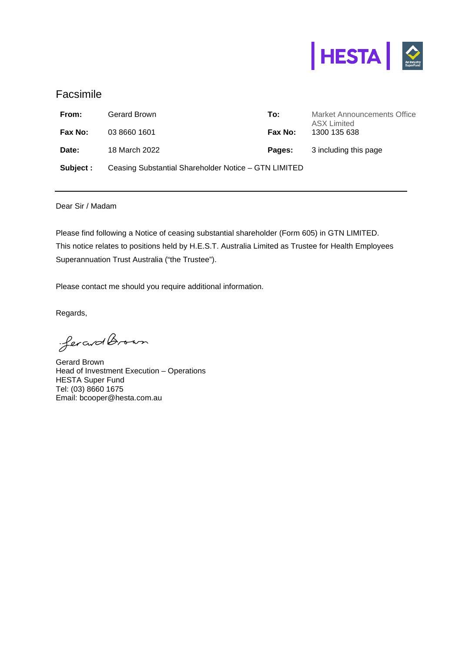

## Facsimile

| From:     | Gerard Brown                                         | To:     | Market Announcements Office<br><b>ASX Limited</b> |
|-----------|------------------------------------------------------|---------|---------------------------------------------------|
| Fax No:   | 03 8660 1601                                         | Fax No: | 1300 135 638                                      |
| Date:     | 18 March 2022                                        | Pages:  | 3 including this page                             |
| Subject : | Ceasing Substantial Shareholder Notice – GTN LIMITED |         |                                                   |

Dear Sir / Madam

Please find following a Notice of ceasing substantial shareholder (Form 605) in GTN LIMITED. This notice relates to positions held by H.E.S.T. Australia Limited as Trustee for Health Employees Superannuation Trust Australia ("the Trustee").

Please contact me should you require additional information.

Regards,

ferard Brown

Gerard Brown Head of Investment Execution – Operations HESTA Super Fund Tel: (03) 8660 1675 Email: bcooper@hesta.com.au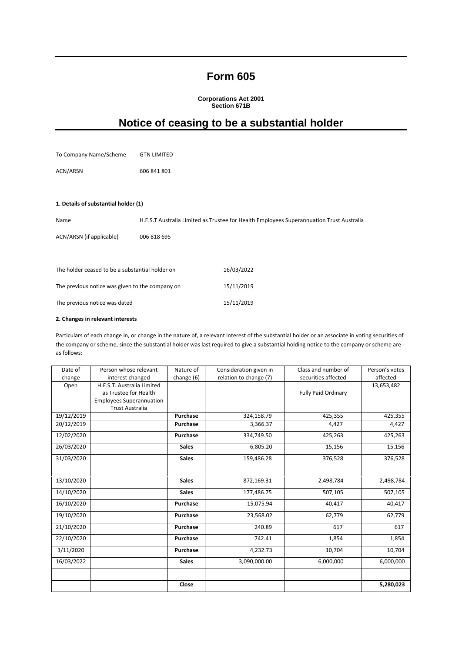## **Form 605**

**Corporations Act 2001 Section 671B** 

# **Notice of ceasing to be a substantial holder**

| To Company Name/Scheme                          | <b>GTN LIMITED</b> |                                                                                          |
|-------------------------------------------------|--------------------|------------------------------------------------------------------------------------------|
| ACN/ARSN                                        | 606 841 801        |                                                                                          |
|                                                 |                    |                                                                                          |
| 1. Details of substantial holder (1)            |                    |                                                                                          |
| Name                                            |                    | H.E.S.T Australia Limited as Trustee for Health Employees Superannuation Trust Australia |
| ACN/ARSN (if applicable)                        | 006 818 695        |                                                                                          |
|                                                 |                    |                                                                                          |
| The holder ceased to be a substantial holder on |                    | 16/03/2022                                                                               |
| The previous notice was given to the company on |                    | 15/11/2019                                                                               |
| The previous notice was dated                   |                    | 15/11/2019                                                                               |

#### **2. Changes in relevant interests**

Particulars of each change in, or change in the nature of, a relevant interest of the substantial holder or an associate in voting securities of the company or scheme, since the substantial holder was last required to give a substantial holding notice to the company or scheme are as follows:

| Date of    | Person whose relevant           | Nature of    | Consideration given in | Class and number of        | Person's votes |
|------------|---------------------------------|--------------|------------------------|----------------------------|----------------|
| change     | interest changed                | change (6)   | relation to change (7) | securities affected        | affected       |
| Open       | H.E.S.T. Australia Limited      |              |                        |                            | 13,653,482     |
|            | as Trustee for Health           |              |                        | <b>Fully Paid Ordinary</b> |                |
|            | <b>Employees Superannuation</b> |              |                        |                            |                |
|            | <b>Trust Australia</b>          |              |                        |                            |                |
| 19/12/2019 |                                 | Purchase     | 324,158.79             | 425,355                    | 425,355        |
| 20/12/2019 |                                 | Purchase     | 3,366.37               | 4,427                      | 4,427          |
| 12/02/2020 |                                 | Purchase     | 334,749.50             | 425,263                    | 425,263        |
| 26/03/2020 |                                 | <b>Sales</b> | 6,805.20               | 15,156                     | 15,156         |
| 31/03/2020 |                                 | <b>Sales</b> | 159,486.28             | 376,528                    | 376,528        |
|            |                                 |              |                        |                            |                |
| 13/10/2020 |                                 | <b>Sales</b> | 872,169.31             | 2,498,784                  | 2,498,784      |
| 14/10/2020 |                                 | <b>Sales</b> | 177,486.75             | 507,105                    | 507,105        |
| 16/10/2020 |                                 | Purchase     | 15,075.94              | 40,417                     | 40,417         |
| 19/10/2020 |                                 | Purchase     | 23,568.02              | 62,779                     | 62,779         |
| 21/10/2020 |                                 | Purchase     | 240.89                 | 617                        | 617            |
| 22/10/2020 |                                 | Purchase     | 742.41                 | 1,854                      | 1,854          |
| 3/11/2020  |                                 | Purchase     | 4,232.73               | 10,704                     | 10,704         |
| 16/03/2022 |                                 | <b>Sales</b> | 3,090,000.00           | 6,000,000                  | 6,000,000      |
|            |                                 |              |                        |                            |                |
|            |                                 | Close        |                        |                            | 5,280,023      |